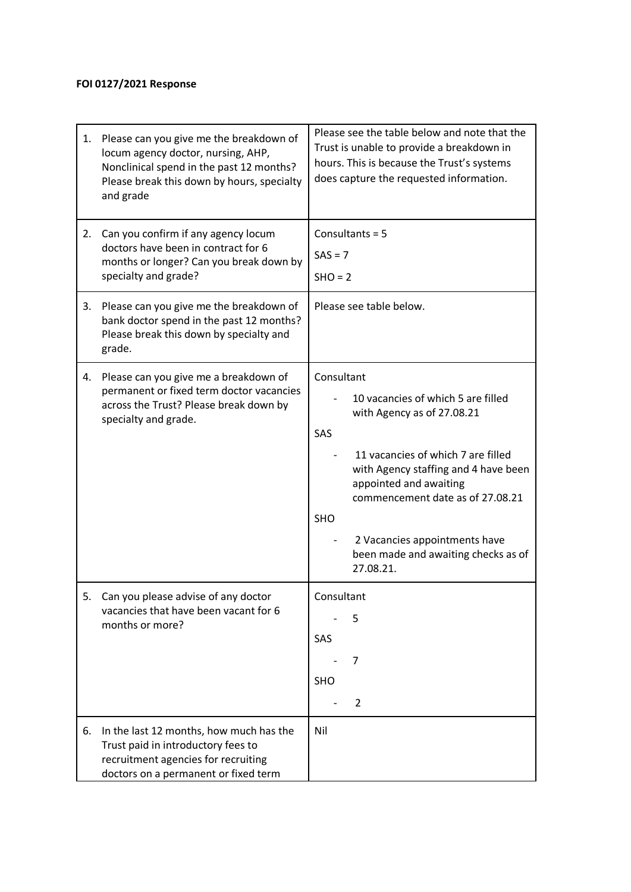## **FOI 0127/2021 Response**

| 1. | Please can you give me the breakdown of<br>locum agency doctor, nursing, AHP,<br>Nonclinical spend in the past 12 months?<br>Please break this down by hours, specialty<br>and grade | Please see the table below and note that the<br>Trust is unable to provide a breakdown in<br>hours. This is because the Trust's systems<br>does capture the requested information.                                                                                                                                            |
|----|--------------------------------------------------------------------------------------------------------------------------------------------------------------------------------------|-------------------------------------------------------------------------------------------------------------------------------------------------------------------------------------------------------------------------------------------------------------------------------------------------------------------------------|
| 2. | Can you confirm if any agency locum<br>doctors have been in contract for 6<br>months or longer? Can you break down by<br>specialty and grade?                                        | Consultants = 5<br>$SAS = 7$<br>$SHO = 2$                                                                                                                                                                                                                                                                                     |
| 3. | Please can you give me the breakdown of<br>bank doctor spend in the past 12 months?<br>Please break this down by specialty and<br>grade.                                             | Please see table below.                                                                                                                                                                                                                                                                                                       |
| 4. | Please can you give me a breakdown of<br>permanent or fixed term doctor vacancies<br>across the Trust? Please break down by<br>specialty and grade.                                  | Consultant<br>10 vacancies of which 5 are filled<br>with Agency as of 27.08.21<br>SAS<br>11 vacancies of which 7 are filled<br>with Agency staffing and 4 have been<br>appointed and awaiting<br>commencement date as of 27.08.21<br>SHO<br>2 Vacancies appointments have<br>been made and awaiting checks as of<br>27.08.21. |
| 5. | Can you please advise of any doctor<br>vacancies that have been vacant for 6<br>months or more?                                                                                      | Consultant<br>5<br>SAS<br>7<br><b>SHO</b><br>2                                                                                                                                                                                                                                                                                |
| 6. | In the last 12 months, how much has the<br>Trust paid in introductory fees to<br>recruitment agencies for recruiting<br>doctors on a permanent or fixed term                         | Nil                                                                                                                                                                                                                                                                                                                           |